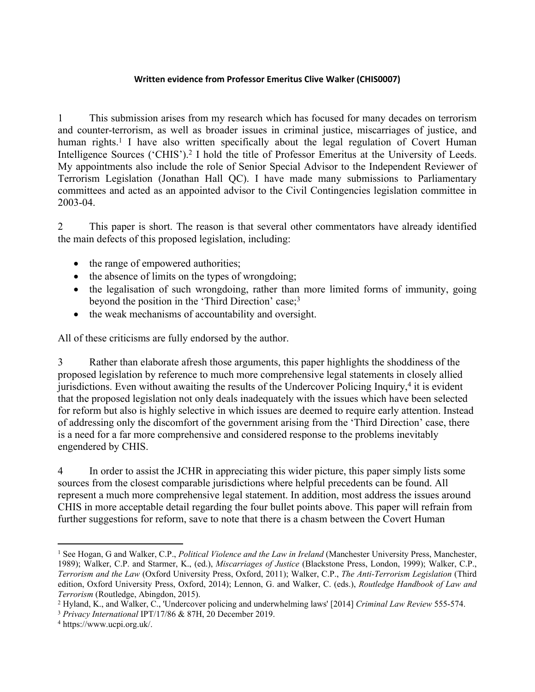## **Written evidence from Professor Emeritus Clive Walker (CHIS0007)**

1 This submission arises from my research which has focused for many decades on terrorism and counter-terrorism, as well as broader issues in criminal justice, miscarriages of justice, and human rights.<sup>1</sup> I have also written specifically about the legal regulation of Covert Human Intelligence Sources ('CHIS').<sup>2</sup> I hold the title of Professor Emeritus at the University of Leeds. My appointments also include the role of Senior Special Advisor to the Independent Reviewer of Terrorism Legislation (Jonathan Hall QC). I have made many submissions to Parliamentary committees and acted as an appointed advisor to the Civil Contingencies legislation committee in 2003-04.

2 This paper is short. The reason is that several other commentators have already identified the main defects of this proposed legislation, including:

- the range of empowered authorities;
- $\bullet$  the absence of limits on the types of wrongdoing;
- the legalisation of such wrongdoing, rather than more limited forms of immunity, going beyond the position in the 'Third Direction' case;<sup>3</sup>
- the weak mechanisms of accountability and oversight.

All of these criticisms are fully endorsed by the author.

3 Rather than elaborate afresh those arguments, this paper highlights the shoddiness of the proposed legislation by reference to much more comprehensive legal statements in closely allied jurisdictions. Even without awaiting the results of the Undercover Policing Inquiry,<sup>4</sup> it is evident that the proposed legislation not only deals inadequately with the issues which have been selected for reform but also is highly selective in which issues are deemed to require early attention. Instead of addressing only the discomfort of the government arising from the 'Third Direction' case, there is a need for a far more comprehensive and considered response to the problems inevitably engendered by CHIS.

4 In order to assist the JCHR in appreciating this wider picture, this paper simply lists some sources from the closest comparable jurisdictions where helpful precedents can be found. All represent a much more comprehensive legal statement. In addition, most address the issues around CHIS in more acceptable detail regarding the four bullet points above. This paper will refrain from further suggestions for reform, save to note that there is a chasm between the Covert Human

<sup>1</sup> See Hogan, G and Walker, C.P., *Political Violence and the Law in Ireland* (Manchester University Press, Manchester, 1989); Walker, C.P. and Starmer, K., (ed.), *Miscarriages of Justice* (Blackstone Press, London, 1999); Walker, C.P., *Terrorism and the Law* (Oxford University Press, Oxford, 2011); Walker, C.P., *The Anti-Terrorism Legislation* (Third edition, Oxford University Press, Oxford, 2014); Lennon, G. and Walker, C. (eds.), *Routledge Handbook of Law and Terrorism* (Routledge, Abingdon, 2015).

<sup>2</sup> Hyland, K., and Walker, C., 'Undercover policing and underwhelming laws' [2014] *Criminal Law Review* 555-574.

<sup>3</sup> *Privacy International* IPT/17/86 & 87H, 20 December 2019.

<sup>4</sup> https://www.ucpi.org.uk/.